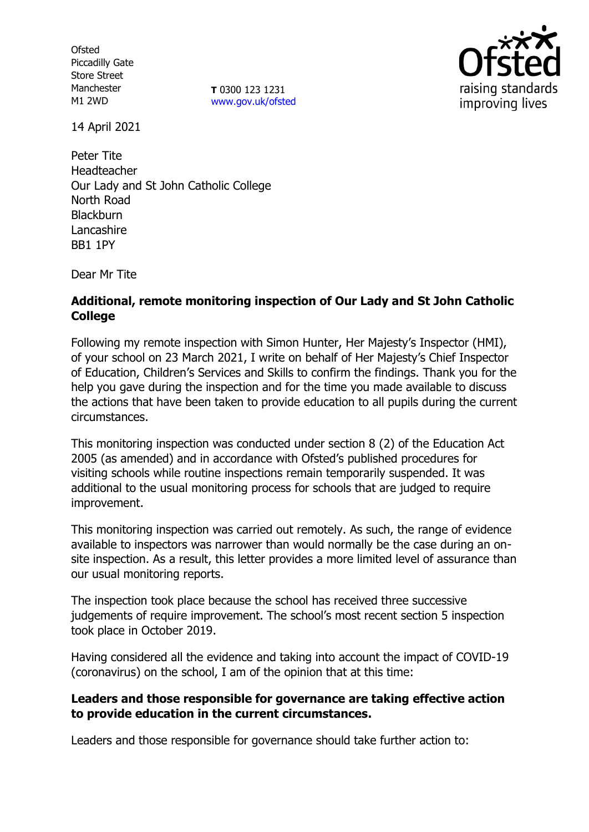**Ofsted** Piccadilly Gate Store Street Manchester M1 2WD

**T** 0300 123 1231 [www.gov.uk/ofsted](http://www.gov.uk/ofsted)



14 April 2021

Peter Tite Headteacher Our Lady and St John Catholic College North Road **Blackburn** Lancashire BB1 1PY

Dear Mr Tite

# **Additional, remote monitoring inspection of Our Lady and St John Catholic College**

Following my remote inspection with Simon Hunter, Her Majesty's Inspector (HMI), of your school on 23 March 2021, I write on behalf of Her Majesty's Chief Inspector of Education, Children's Services and Skills to confirm the findings. Thank you for the help you gave during the inspection and for the time you made available to discuss the actions that have been taken to provide education to all pupils during the current circumstances.

This monitoring inspection was conducted under section 8 (2) of the Education Act 2005 (as amended) and in accordance with Ofsted's published procedures for visiting schools while routine inspections remain temporarily suspended. It was additional to the usual monitoring process for schools that are judged to require improvement.

This monitoring inspection was carried out remotely. As such, the range of evidence available to inspectors was narrower than would normally be the case during an onsite inspection. As a result, this letter provides a more limited level of assurance than our usual monitoring reports.

The inspection took place because the school has received three successive judgements of require improvement. The school's most recent section 5 inspection took place in October 2019.

Having considered all the evidence and taking into account the impact of COVID-19 (coronavirus) on the school, I am of the opinion that at this time:

## **Leaders and those responsible for governance are taking effective action to provide education in the current circumstances.**

Leaders and those responsible for governance should take further action to: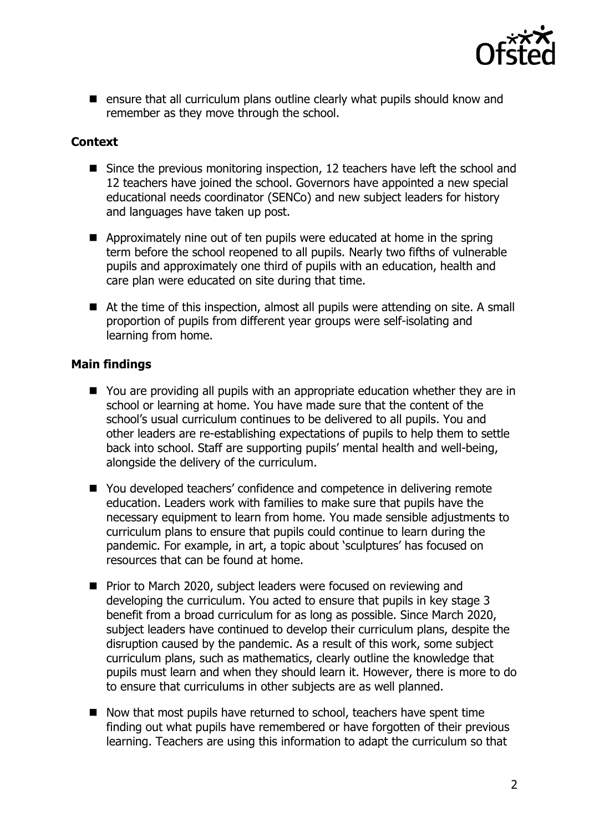

■ ensure that all curriculum plans outline clearly what pupils should know and remember as they move through the school.

## **Context**

- Since the previous monitoring inspection, 12 teachers have left the school and 12 teachers have joined the school. Governors have appointed a new special educational needs coordinator (SENCo) and new subject leaders for history and languages have taken up post.
- Approximately nine out of ten pupils were educated at home in the spring term before the school reopened to all pupils. Nearly two fifths of vulnerable pupils and approximately one third of pupils with an education, health and care plan were educated on site during that time.
- At the time of this inspection, almost all pupils were attending on site. A small proportion of pupils from different year groups were self-isolating and learning from home.

## **Main findings**

- You are providing all pupils with an appropriate education whether they are in school or learning at home. You have made sure that the content of the school's usual curriculum continues to be delivered to all pupils. You and other leaders are re-establishing expectations of pupils to help them to settle back into school. Staff are supporting pupils' mental health and well-being, alongside the delivery of the curriculum.
- You developed teachers' confidence and competence in delivering remote education. Leaders work with families to make sure that pupils have the necessary equipment to learn from home. You made sensible adjustments to curriculum plans to ensure that pupils could continue to learn during the pandemic. For example, in art, a topic about 'sculptures' has focused on resources that can be found at home.
- Prior to March 2020, subject leaders were focused on reviewing and developing the curriculum. You acted to ensure that pupils in key stage 3 benefit from a broad curriculum for as long as possible. Since March 2020, subject leaders have continued to develop their curriculum plans, despite the disruption caused by the pandemic. As a result of this work, some subject curriculum plans, such as mathematics, clearly outline the knowledge that pupils must learn and when they should learn it. However, there is more to do to ensure that curriculums in other subjects are as well planned.
- Now that most pupils have returned to school, teachers have spent time finding out what pupils have remembered or have forgotten of their previous learning. Teachers are using this information to adapt the curriculum so that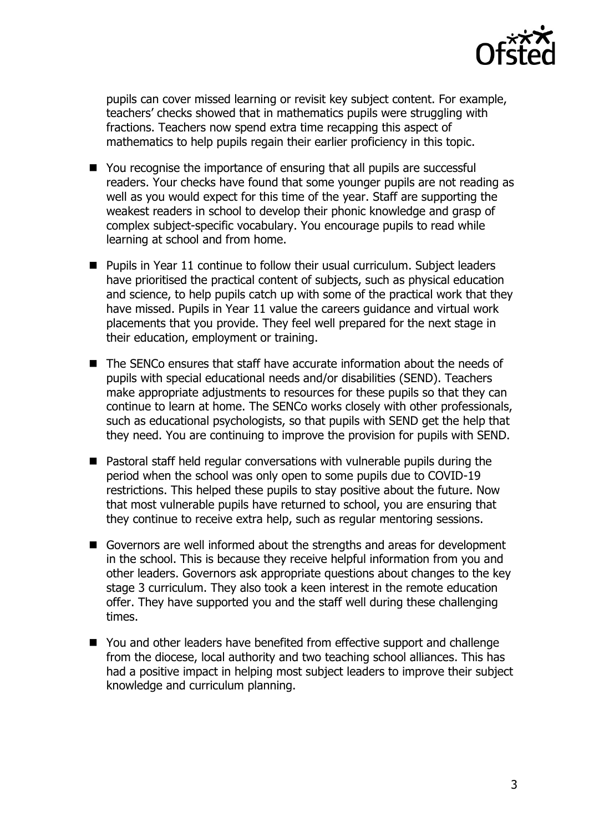

pupils can cover missed learning or revisit key subject content. For example, teachers' checks showed that in mathematics pupils were struggling with fractions. Teachers now spend extra time recapping this aspect of mathematics to help pupils regain their earlier proficiency in this topic.

- You recognise the importance of ensuring that all pupils are successful readers. Your checks have found that some younger pupils are not reading as well as you would expect for this time of the year. Staff are supporting the weakest readers in school to develop their phonic knowledge and grasp of complex subject-specific vocabulary. You encourage pupils to read while learning at school and from home.
- Pupils in Year 11 continue to follow their usual curriculum. Subject leaders have prioritised the practical content of subjects, such as physical education and science, to help pupils catch up with some of the practical work that they have missed. Pupils in Year 11 value the careers guidance and virtual work placements that you provide. They feel well prepared for the next stage in their education, employment or training.
- The SENCo ensures that staff have accurate information about the needs of pupils with special educational needs and/or disabilities (SEND). Teachers make appropriate adjustments to resources for these pupils so that they can continue to learn at home. The SENCo works closely with other professionals, such as educational psychologists, so that pupils with SEND get the help that they need. You are continuing to improve the provision for pupils with SEND.
- Pastoral staff held regular conversations with vulnerable pupils during the period when the school was only open to some pupils due to COVID-19 restrictions. This helped these pupils to stay positive about the future. Now that most vulnerable pupils have returned to school, you are ensuring that they continue to receive extra help, such as regular mentoring sessions.
- Governors are well informed about the strengths and areas for development in the school. This is because they receive helpful information from you and other leaders. Governors ask appropriate questions about changes to the key stage 3 curriculum. They also took a keen interest in the remote education offer. They have supported you and the staff well during these challenging times.
- You and other leaders have benefited from effective support and challenge from the diocese, local authority and two teaching school alliances. This has had a positive impact in helping most subject leaders to improve their subject knowledge and curriculum planning.